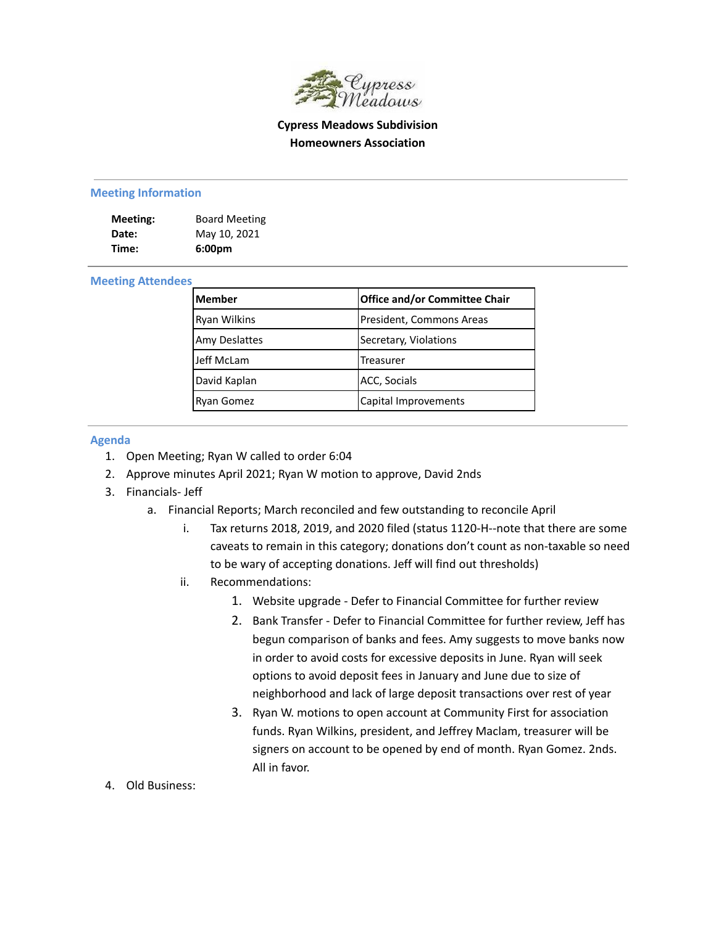

# **Cypress Meadows Subdivision Homeowners Association**

#### **Meeting Information**

| Meeting: | <b>Board Meeting</b> |
|----------|----------------------|
| Date:    | May 10, 2021         |
| Time:    | 6:00 <sub>pm</sub>   |

#### **Meeting Attendees**

| <b>Member</b>        | <b>Office and/or Committee Chair</b> |
|----------------------|--------------------------------------|
| Ryan Wilkins         | President, Commons Areas             |
| <b>Amy Deslattes</b> | Secretary, Violations                |
| Jeff McLam           | Treasurer                            |
| David Kaplan         | <b>ACC, Socials</b>                  |
| <b>Ryan Gomez</b>    | Capital Improvements                 |

### **Agenda**

- 1. Open Meeting; Ryan W called to order 6:04
- 2. Approve minutes April 2021; Ryan W motion to approve, David 2nds
- 3. Financials- Jeff
	- a. Financial Reports; March reconciled and few outstanding to reconcile April
		- i. Tax returns 2018, 2019, and 2020 filed (status 1120-H--note that there are some caveats to remain in this category; donations don't count as non-taxable so need to be wary of accepting donations. Jeff will find out thresholds)
		- ii. Recommendations:
			- 1. Website upgrade Defer to Financial Committee for further review
			- 2. Bank Transfer Defer to Financial Committee for further review, Jeff has begun comparison of banks and fees. Amy suggests to move banks now in order to avoid costs for excessive deposits in June. Ryan will seek options to avoid deposit fees in January and June due to size of neighborhood and lack of large deposit transactions over rest of year
			- 3. Ryan W. motions to open account at Community First for association funds. Ryan Wilkins, president, and Jeffrey Maclam, treasurer will be signers on account to be opened by end of month. Ryan Gomez. 2nds. All in favor.
- 4. Old Business: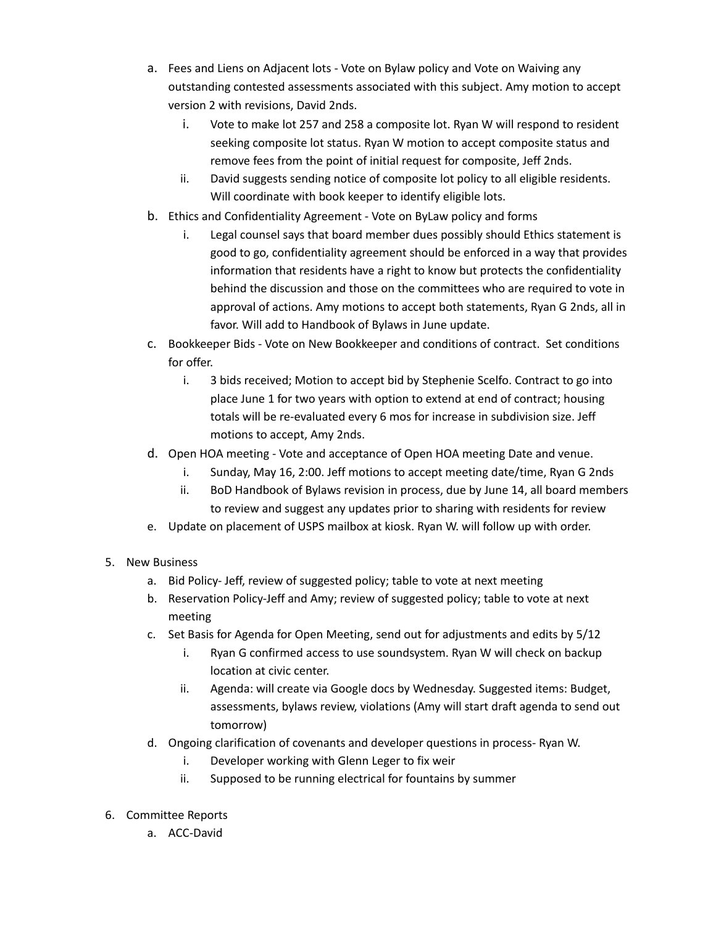- a. Fees and Liens on Adjacent lots Vote on Bylaw policy and Vote on Waiving any outstanding contested assessments associated with this subject. Amy motion to accept version 2 with revisions, David 2nds.
	- i. Vote to make lot 257 and 258 a composite lot. Ryan W will respond to resident seeking composite lot status. Ryan W motion to accept composite status and remove fees from the point of initial request for composite, Jeff 2nds.
	- ii. David suggests sending notice of composite lot policy to all eligible residents. Will coordinate with book keeper to identify eligible lots.
- b. Ethics and Confidentiality Agreement Vote on ByLaw policy and forms
	- i. Legal counsel says that board member dues possibly should Ethics statement is good to go, confidentiality agreement should be enforced in a way that provides information that residents have a right to know but protects the confidentiality behind the discussion and those on the committees who are required to vote in approval of actions. Amy motions to accept both statements, Ryan G 2nds, all in favor. Will add to Handbook of Bylaws in June update.
- c. Bookkeeper Bids Vote on New Bookkeeper and conditions of contract. Set conditions for offer.
	- i. 3 bids received; Motion to accept bid by Stephenie Scelfo. Contract to go into place June 1 for two years with option to extend at end of contract; housing totals will be re-evaluated every 6 mos for increase in subdivision size. Jeff motions to accept, Amy 2nds.
- d. Open HOA meeting Vote and acceptance of Open HOA meeting Date and venue.
	- i. Sunday, May 16, 2:00. Jeff motions to accept meeting date/time, Ryan G 2nds
	- ii. BoD Handbook of Bylaws revision in process, due by June 14, all board members to review and suggest any updates prior to sharing with residents for review
- e. Update on placement of USPS mailbox at kiosk. Ryan W. will follow up with order.
- 5. New Business
	- a. Bid Policy- Jeff, review of suggested policy; table to vote at next meeting
	- b. Reservation Policy-Jeff and Amy; review of suggested policy; table to vote at next meeting
	- c. Set Basis for Agenda for Open Meeting, send out for adjustments and edits by 5/12
		- i. Ryan G confirmed access to use soundsystem. Ryan W will check on backup location at civic center.
		- ii. Agenda: will create via Google docs by Wednesday. Suggested items: Budget, assessments, bylaws review, violations (Amy will start draft agenda to send out tomorrow)
	- d. Ongoing clarification of covenants and developer questions in process- Ryan W.
		- i. Developer working with Glenn Leger to fix weir
		- ii. Supposed to be running electrical for fountains by summer
- 6. Committee Reports
	- a. ACC-David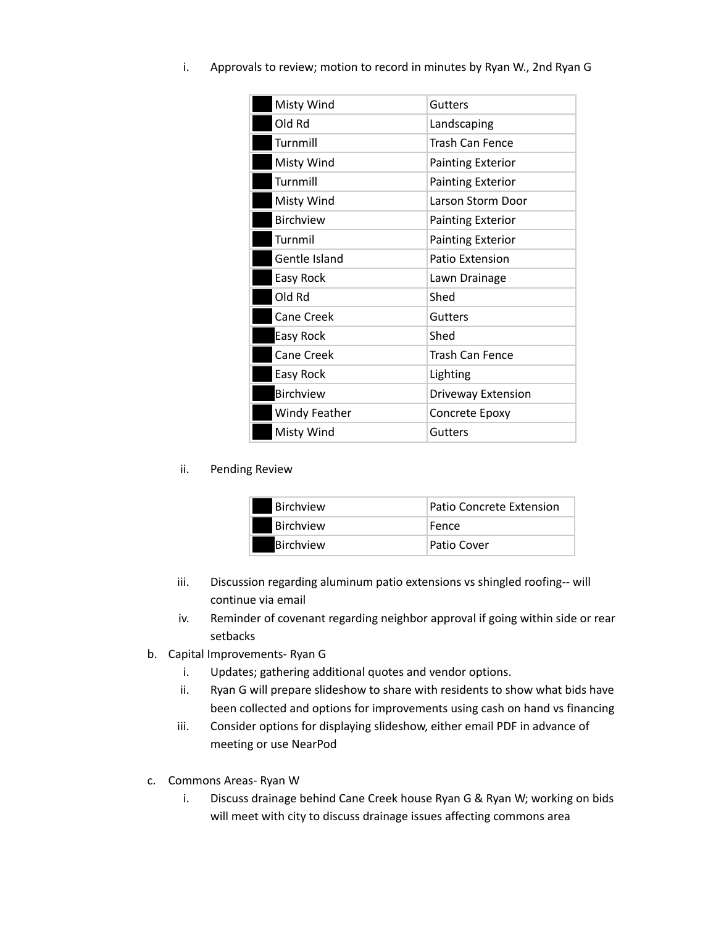| Misty Wind           | Gutters                  |
|----------------------|--------------------------|
| Old Rd               | Landscaping              |
| Turnmill             | <b>Trash Can Fence</b>   |
| Misty Wind           | <b>Painting Exterior</b> |
| Turnmill             | <b>Painting Exterior</b> |
| Misty Wind           | Larson Storm Door        |
| <b>Birchview</b>     | <b>Painting Exterior</b> |
| Turnmil              | <b>Painting Exterior</b> |
| Gentle Island        | Patio Extension          |
| Easy Rock            | Lawn Drainage            |
| Old Rd               | Shed                     |
| <b>Cane Creek</b>    | <b>Gutters</b>           |
| <b>Easy Rock</b>     | Shed                     |
| Cane Creek           | <b>Trash Can Fence</b>   |
| Easy Rock            | Lighting                 |
| <b>Birchview</b>     | Driveway Extension       |
| <b>Windy Feather</b> | Concrete Epoxy           |
| Misty Wind           | <b>Gutters</b>           |

## ii. Pending Review

| <b>Birchview</b> | Patio Concrete Extension |
|------------------|--------------------------|
| <b>Birchview</b> | Fence                    |
| Birchview        | Patio Cover              |

- iii. Discussion regarding aluminum patio extensions vs shingled roofing-- will continue via email
- iv. Reminder of covenant regarding neighbor approval if going within side or rear setbacks
- b. Capital Improvements- Ryan G
	- i. Updates; gathering additional quotes and vendor options.
	- ii. Ryan G will prepare slideshow to share with residents to show what bids have been collected and options for improvements using cash on hand vs financing
	- iii. Consider options for displaying slideshow, either email PDF in advance of meeting or use NearPod
- c. Commons Areas- Ryan W
	- i. Discuss drainage behind Cane Creek house Ryan G & Ryan W; working on bids will meet with city to discuss drainage issues affecting commons area